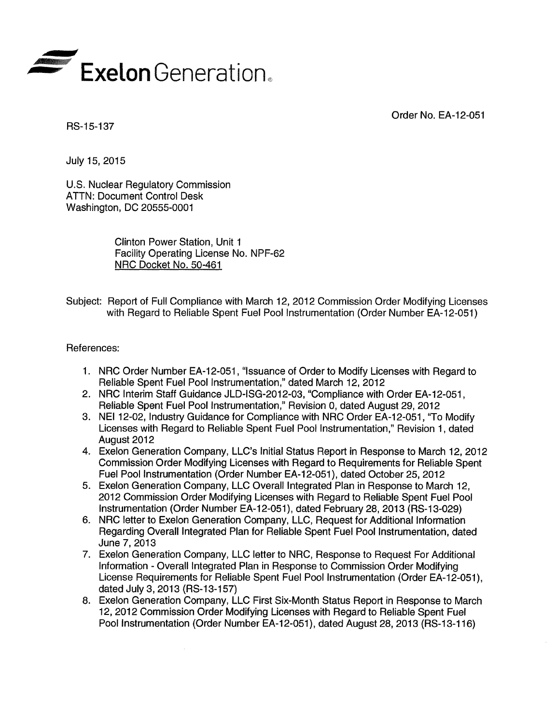

Order No. EA-12-051

RS-15-137

July 15, 2015

U.S. Nuclear Regulatory Commission ATTN: Document Control Desk Washington, DC 20555-0001

> Clinton Power Station, Unit 1 Facility Operating License No. NPF-62 NRC Docket No. 50-461

> > $\mathcal{A}$

Subject: Report of Full Compliance with March 12, 2012 Commission Order Modifying Licenses with Regard to Reliable Spent Fuel Pool Instrumentation (Order Number EA-12-051)

References:

- 1. NRC Order Number EA-12-051, "Issuance of Order to Modify Licenses with Regard to Reliable Spent Fuel Pool Instrumentation," dated March 12, 2012
- 2. NRC Interim Staff Guidance JLD-ISG-2012-03, "Compliance with Order EA-12-051, Reliable Spent Fuel Pool Instrumentation," Revision 0, dated August 29, 2012
- 3. NEI 12-02, Industry Guidance for Compliance with NRC Order EA-12-051, "To Modify Licenses with Regard to Reliable Spent Fuel Pool Instrumentation," Revision 1, dated August 2012
- 4. Exelon Generation Company, LLC's Initial Status Report in Response to March 12, 2012 Commission Order Modifying Licenses with Regard to Requirements for Reliable Spent Fuel Pool Instrumentation (Order Number EA-12-051), dated October 25, 2012
- 5. Exelon Generation Company, LLC Overall Integrated Plan in Response to March 12, 2012 Commission Order Modifying Licenses with Regard to Reliable Spent Fuel Pool Instrumentation (Order Number EA-12-051), dated February 28, 2013 (RS-13-029)
- 6. NRC letter to Exelon Generation Company, LLC, Request for Additional Information Regarding Overall Integrated Plan for Reliable Spent Fuel Pool Instrumentation, dated June 7, 2013
- 7. Exelon Generation Company, LLC letter to NRC, Response to Request For Additional Information - Overall Integrated Plan in Response to Commission Order Modifying License Requirements for Reliable Spent Fuel Pool Instrumentation (Order EA-12-051), dated July 3, 2013 (RS-13-157)
- 8. Exelon Generation Company, LLC First Six-Month Status Report in Response to March 12, 2012 Commission Order Modifying Licenses with Regard to Reliable Spent Fuel Pool Instrumentation (Order Number EA-12-051), dated August 28, 2013 (RS-13-116)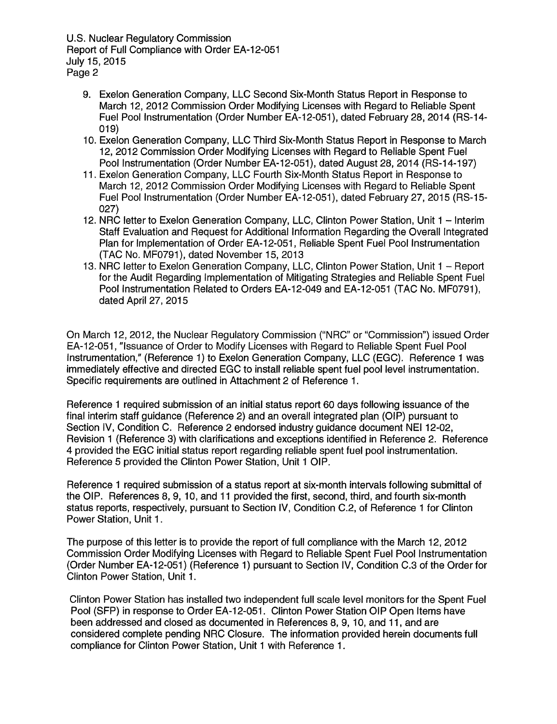U.S. Nuclear Regulatory Commission Report of Full Compliance with Order EA-12-051 July 15, 2015 Page 2

- 9. Exelon Generation Company, LLC Second Six-Month Status Report in Response to March 12, 2012 Commission Order Modifying Licenses with Regard to Reliable Spent Fuel Pool Instrumentation (Order Number EA-12-051), dated February 28, 2014 (RS-14-019)
- 10. Exelon Generation Company, LLC Third Six-Month Status Report in Response to March 12, 2012 Commission Order Modifying Licenses with Regard to Reliable Spent Fuel Pool Instrumentation (Order Number EA-12-051), dated August 28, 2014 (RS-14-197)
- 11. Exelon Generation Company, LLC Fourth Six-Month Status Report in Response to March 12, 2012 Commission Order Modifying Licenses with Regard to Reliable Spent Fuel Pool Instrumentation (Order Number EA-12-051), dated February 27, 2015 (RS-15- 027)
- 12. NRC letter to Exelon Generation Company, LLC, Clinton Power Station, Unit 1 Interim Staff Evaluation and Request for Additional Information Regarding the Overall Integrated Plan for Implementation of Order EA-12-051, Reliable Spent Fuel Pool Instrumentation (TAC No. MF0791), dated November 15, 2013
- 13. NRC letter to Exelon Generation Company, LLC, Clinton Power Station, Unit 1 Report for the Audit Regarding Implementation of Mitigating Strategies and Reliable Spent Fuel Pool Instrumentation Related to Orders EA-12-049 and EA-12-051 (TAC No. MF0791), dated April 27, 2015

On March 12, 2012, the Nuclear Regulatory Commission ("NRC" or "Commission") issued Order EA-12-051, "Issuance of Order to Modify Licenses with Regard to Reliable Spent Fuel Pool Instrumentation," (Reference 1) to Exelon Generation Company, LLC (EGG). Reference 1 was immediately effective and directed EGC to install reliable spent fuel pool level instrumentation. Specific requirements are outlined in Attachment 2 of Reference 1.

Reference 1 required submission of an initial status report 60 days following issuance of the final interim staff guidance (Reference 2) and an overall integrated plan (OIP) pursuant to Section IV, Condition C. Reference 2 endorsed industry guidance document NEI 12-02, Revision 1 (Reference 3) with clarifications and exceptions identified in Reference 2. Reference 4 provided the EGC initial status report regarding reliable spent fuel pool instrumentation. Reference 5 provided the Clinton Power Station, Unit 1 OIP.

Reference 1 required submission of a status report at six-month intervals following submittal of the OIP. References 8, 9, 10, and 11 provided the first, second, third, and fourth six-month status reports, respectively, pursuant to Section IV, Condition C.2, of Reference 1 for Clinton Power Station, Unit 1.

The purpose of this letter is to provide the report of full compliance with the March 12, 2012 Commission Order Modifying Licenses with Regard to Reliable Spent Fuel Pool Instrumentation (Order Number EA-1 2-051) (Reference 1) pursuant to Section IV, Condition C.3 of the Order for Clinton Power Station, Unit 1.

Clinton Power Station has installed two independent full scale level monitors for the Spent Fuel Pool (SFP) in response to Order EA-12-051. Clinton Power Station OIP Open Items have been addressed and closed as documented in References 8, 9, 10, and 11, and are considered complete pending NRC Closure. The information provided herein documents full compliance for Clinton Power Station, Unit 1 with Reference 1.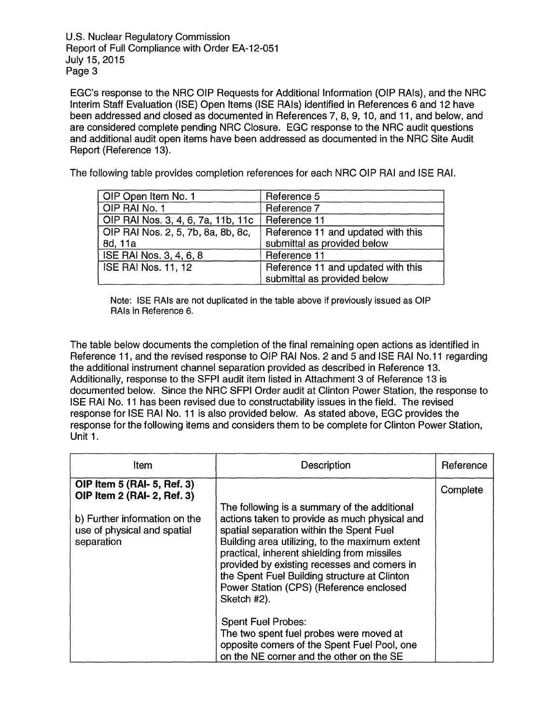U.S. Nuclear Regulatory Commission Report of Full Compliance with Order EA-12-051 July 15, 2015 Page 3

EGC's response to the NRC OIP Requests for Additional Information (OIP RAts), and the NRC Interim Staff Evaluation (ISE) Open Items (ISE RAts) identified in References 6 and 12 have been addressed and closed as documented in References 7, 8, 9, 10, and 11, and below, and are considered complete pending NRC Closure. EGG response to the NRC audit questions and additional audit open items have been addressed as documented in the NRC Site Audit Report (Reference 13).

The following table provides completion references for each NRC OIP RAI and ISE RAI.

| OIP Open Item No. 1                | Reference 5                        |
|------------------------------------|------------------------------------|
| OIP RAI No. 1                      | Reference 7                        |
| OIP RAI Nos. 3, 4, 6, 7a, 11b, 11c | Reference 11                       |
| OIP RAI Nos. 2, 5, 7b, 8a, 8b, 8c, | Reference 11 and updated with this |
| 8d, 11a                            | submittal as provided below        |
| ISE RAI Nos. 3, 4, 6, 8            | Reference 11                       |
| <b>ISE RAI Nos. 11, 12</b>         | Reference 11 and updated with this |
|                                    | submittal as provided below        |

Note: ISE RAts are not duplicated in the table above if previously issued as OIP RAIs in Reference 6.

The table below documents the completion of the final remaining open actions as identified in Reference 11, and the revised response to OIP RAI Nos. 2 and 5 and ISE RAI No. 11 regarding the additional instrument channel separation provided as described in Reference 13. Additionally, response to the SFPI audit item listed in Attachment 3 of Reference 13 is documented below. Since the NRC SFPI Order audit at Clinton Power Station, the response to ISE RAI No. 11 has been revised due to constructability issues in the field. The revised response for ISE RAI No. 11 is also provided below. As stated above, EGG provides the response for the following items and considers them to be complete for Clinton Power Station, Unit 1.

| Item                                                                                                                                     | Description                                                                                                                                                                                                                                                                                                                                                                                          | Reference |
|------------------------------------------------------------------------------------------------------------------------------------------|------------------------------------------------------------------------------------------------------------------------------------------------------------------------------------------------------------------------------------------------------------------------------------------------------------------------------------------------------------------------------------------------------|-----------|
| OIP Item 5 (RAI- 5, Ref. 3)<br>OIP Item 2 (RAI- 2, Ref. 3)<br>b) Further information on the<br>use of physical and spatial<br>separation | The following is a summary of the additional<br>actions taken to provide as much physical and<br>spatial separation within the Spent Fuel<br>Building area utilizing, to the maximum extent<br>practical, inherent shielding from missiles<br>provided by existing recesses and corners in<br>the Spent Fuel Building structure at Clinton<br>Power Station (CPS) (Reference enclosed<br>Sketch #2). | Complete  |
|                                                                                                                                          | <b>Spent Fuel Probes:</b><br>The two spent fuel probes were moved at<br>opposite corners of the Spent Fuel Pool, one<br>on the NE corner and the other on the SE                                                                                                                                                                                                                                     |           |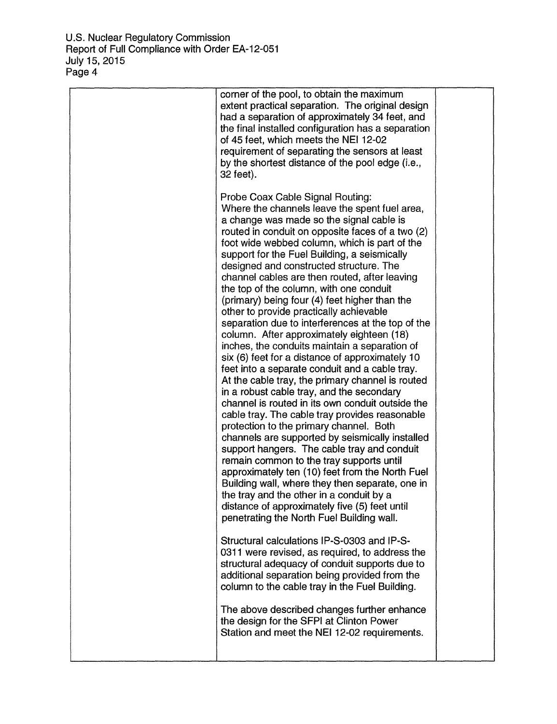| corner of the pool, to obtain the maximum<br>extent practical separation. The original design<br>had a separation of approximately 34 feet, and<br>the final installed configuration has a separation<br>of 45 feet, which meets the NEI 12-02<br>requirement of separating the sensors at least<br>by the shortest distance of the pool edge (i.e.,<br>32 feet).<br>Probe Coax Cable Signal Routing:                                                                                                                                                                                    |  |
|------------------------------------------------------------------------------------------------------------------------------------------------------------------------------------------------------------------------------------------------------------------------------------------------------------------------------------------------------------------------------------------------------------------------------------------------------------------------------------------------------------------------------------------------------------------------------------------|--|
| Where the channels leave the spent fuel area,<br>a change was made so the signal cable is<br>routed in conduit on opposite faces of a two (2)<br>foot wide webbed column, which is part of the<br>support for the Fuel Building, a seismically<br>designed and constructed structure. The<br>channel cables are then routed, after leaving<br>the top of the column, with one conduit                                                                                                                                                                                                    |  |
| (primary) being four (4) feet higher than the<br>other to provide practically achievable<br>separation due to interferences at the top of the<br>column. After approximately eighteen (18)<br>inches, the conduits maintain a separation of<br>six (6) feet for a distance of approximately 10<br>feet into a separate conduit and a cable tray.<br>At the cable tray, the primary channel is routed                                                                                                                                                                                     |  |
| in a robust cable tray, and the secondary<br>channel is routed in its own conduit outside the<br>cable tray. The cable tray provides reasonable<br>protection to the primary channel. Both<br>channels are supported by seismically installed<br>support hangers. The cable tray and conduit<br>remain common to the tray supports until<br>approximately ten (10) feet from the North Fuel<br>Building wall, where they then separate, one in<br>the tray and the other in a conduit by a<br>distance of approximately five (5) feet until<br>penetrating the North Fuel Building wall. |  |
| Structural calculations IP-S-0303 and IP-S-<br>0311 were revised, as required, to address the<br>structural adequacy of conduit supports due to<br>additional separation being provided from the<br>column to the cable tray in the Fuel Building.                                                                                                                                                                                                                                                                                                                                       |  |
| The above described changes further enhance<br>the design for the SFPI at Clinton Power<br>Station and meet the NEI 12-02 requirements.                                                                                                                                                                                                                                                                                                                                                                                                                                                  |  |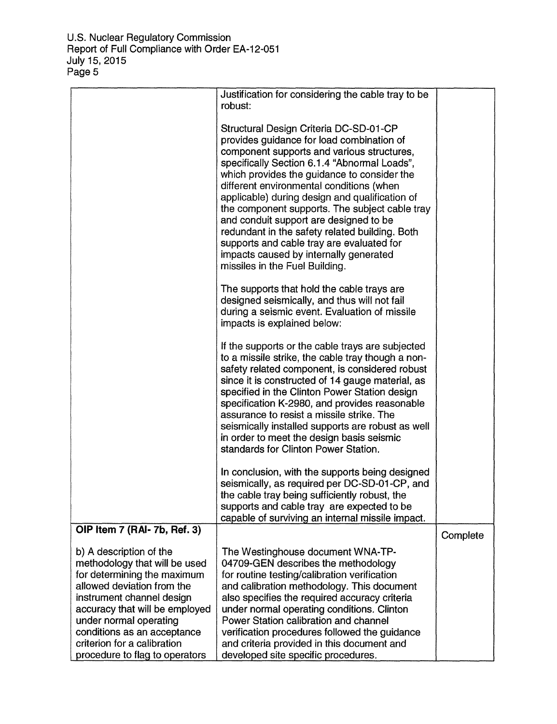| Justification for considering the cable tray to be<br>robust:                                                                                                                                                                                                                                                                                                                                                                                                                                                                                                                                         |                                     |
|-------------------------------------------------------------------------------------------------------------------------------------------------------------------------------------------------------------------------------------------------------------------------------------------------------------------------------------------------------------------------------------------------------------------------------------------------------------------------------------------------------------------------------------------------------------------------------------------------------|-------------------------------------|
| Structural Design Criteria DC-SD-01-CP<br>provides guidance for load combination of<br>component supports and various structures,<br>specifically Section 6.1.4 "Abnormal Loads",<br>which provides the guidance to consider the<br>different environmental conditions (when<br>applicable) during design and qualification of<br>the component supports. The subject cable tray<br>and conduit support are designed to be<br>redundant in the safety related building. Both<br>supports and cable tray are evaluated for<br>impacts caused by internally generated<br>missiles in the Fuel Building. |                                     |
| The supports that hold the cable trays are<br>designed seismically, and thus will not fail<br>during a seismic event. Evaluation of missile<br>impacts is explained below:                                                                                                                                                                                                                                                                                                                                                                                                                            |                                     |
| If the supports or the cable trays are subjected<br>to a missile strike, the cable tray though a non-<br>safety related component, is considered robust<br>since it is constructed of 14 gauge material, as<br>specified in the Clinton Power Station design<br>specification K-2980, and provides reasonable<br>assurance to resist a missile strike. The<br>seismically installed supports are robust as well<br>in order to meet the design basis seismic<br>standards for Clinton Power Station.                                                                                                  |                                     |
| In conclusion, with the supports being designed<br>seismically, as required per DC-SD-01-CP, and<br>the cable tray being sufficiently robust, the<br>supports and cable tray are expected to be<br>capable of surviving an internal missile impact.                                                                                                                                                                                                                                                                                                                                                   |                                     |
|                                                                                                                                                                                                                                                                                                                                                                                                                                                                                                                                                                                                       | Complete                            |
| The Westinghouse document WNA-TP-<br>04709-GEN describes the methodology<br>for routine testing/calibration verification<br>and calibration methodology. This document<br>also specifies the required accuracy criteria<br>under normal operating conditions. Clinton<br>Power Station calibration and channel<br>verification procedures followed the guidance<br>and criteria provided in this document and                                                                                                                                                                                         |                                     |
|                                                                                                                                                                                                                                                                                                                                                                                                                                                                                                                                                                                                       | developed site specific procedures. |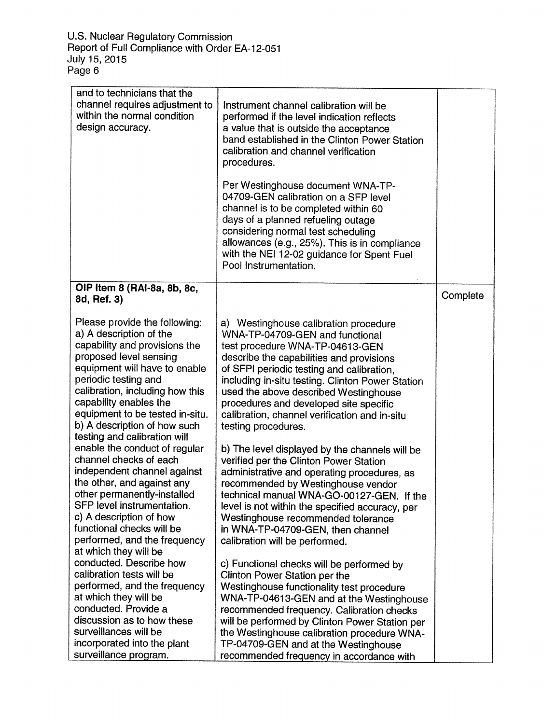| and to technicians that the<br>channel requires adjustment to<br>within the normal condition<br>design accuracy.                                                                                                                                                                                                                             | Instrument channel calibration will be<br>performed if the level indication reflects<br>a value that is outside the acceptance<br>band established in the Clinton Power Station<br>calibration and channel verification<br>procedures.<br>Per Westinghouse document WNA-TP-<br>04709-GEN calibration on a SFP level<br>channel is to be completed within 60<br>days of a planned refueling outage                   |          |
|----------------------------------------------------------------------------------------------------------------------------------------------------------------------------------------------------------------------------------------------------------------------------------------------------------------------------------------------|---------------------------------------------------------------------------------------------------------------------------------------------------------------------------------------------------------------------------------------------------------------------------------------------------------------------------------------------------------------------------------------------------------------------|----------|
|                                                                                                                                                                                                                                                                                                                                              | considering normal test scheduling<br>allowances (e.g., 25%). This is in compliance<br>with the NEI 12-02 guidance for Spent Fuel<br>Pool Instrumentation.                                                                                                                                                                                                                                                          |          |
| OIP Item 8 (RAI-8a, 8b, 8c,<br>8d, Ref. 3)                                                                                                                                                                                                                                                                                                   |                                                                                                                                                                                                                                                                                                                                                                                                                     | Complete |
| Please provide the following:<br>a) A description of the<br>capability and provisions the<br>proposed level sensing<br>equipment will have to enable<br>periodic testing and<br>calibration, including how this<br>capability enables the<br>equipment to be tested in-situ.<br>b) A description of how such<br>testing and calibration will | a) Westinghouse calibration procedure<br>WNA-TP-04709-GEN and functional<br>test procedure WNA-TP-04613-GEN<br>describe the capabilities and provisions<br>of SFPI periodic testing and calibration,<br>including in-situ testing. Clinton Power Station<br>used the above described Westinghouse<br>procedures and developed site specific<br>calibration, channel verification and in-situ<br>testing procedures. |          |
| enable the conduct of regular<br>channel checks of each<br>independent channel against<br>the other, and against any<br>other permanently-installed<br>SFP level instrumentation.<br>c) A description of how<br>functional checks will be<br>performed, and the frequency<br>at which they will be                                           | b) The level displayed by the channels will be<br>verified per the Clinton Power Station<br>administrative and operating procedures, as<br>recommended by Westinghouse vendor<br>technical manual WNA-GO-00127-GEN. If the<br>level is not within the specified accuracy, per<br>Westinghouse recommended tolerance<br>in WNA-TP-04709-GEN, then channel<br>calibration will be performed.                          |          |
| conducted. Describe how<br>calibration tests will be<br>performed, and the frequency<br>at which they will be<br>conducted. Provide a<br>discussion as to how these<br>surveillances will be<br>incorporated into the plant<br>surveillance program.                                                                                         | c) Functional checks will be performed by<br>Clinton Power Station per the<br>Westinghouse functionality test procedure<br>WNA-TP-04613-GEN and at the Westinghouse<br>recommended frequency. Calibration checks<br>will be performed by Clinton Power Station per<br>the Westinghouse calibration procedure WNA-<br>TP-04709-GEN and at the Westinghouse<br>recommended frequency in accordance with               |          |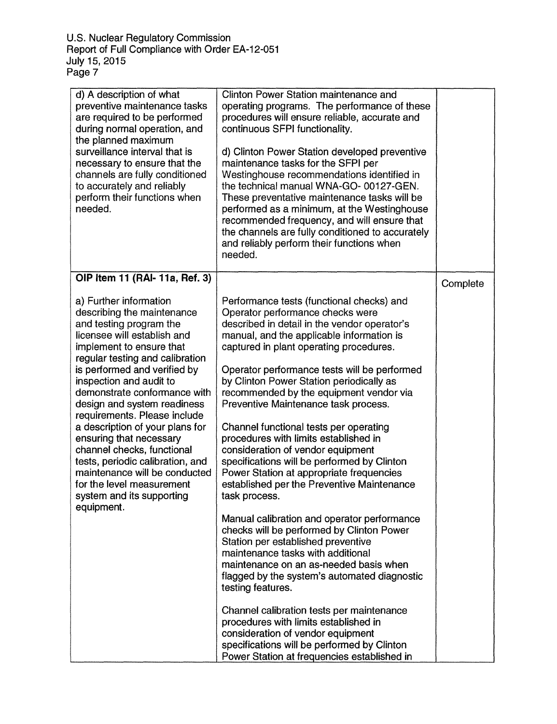| d) A description of what<br>preventive maintenance tasks<br>are required to be performed<br>during normal operation, and<br>the planned maximum<br>surveillance interval that is<br>necessary to ensure that the<br>channels are fully conditioned<br>to accurately and reliably<br>perform their functions when<br>needed.                                                                                                                                                                                                                                                      | Clinton Power Station maintenance and<br>operating programs. The performance of these<br>procedures will ensure reliable, accurate and<br>continuous SFPI functionality.<br>d) Clinton Power Station developed preventive<br>maintenance tasks for the SFPI per<br>Westinghouse recommendations identified in<br>the technical manual WNA-GO-00127-GEN.<br>These preventative maintenance tasks will be<br>performed as a minimum, at the Westinghouse<br>recommended frequency, and will ensure that<br>the channels are fully conditioned to accurately<br>and reliably perform their functions when<br>needed.                                                                      |          |
|----------------------------------------------------------------------------------------------------------------------------------------------------------------------------------------------------------------------------------------------------------------------------------------------------------------------------------------------------------------------------------------------------------------------------------------------------------------------------------------------------------------------------------------------------------------------------------|----------------------------------------------------------------------------------------------------------------------------------------------------------------------------------------------------------------------------------------------------------------------------------------------------------------------------------------------------------------------------------------------------------------------------------------------------------------------------------------------------------------------------------------------------------------------------------------------------------------------------------------------------------------------------------------|----------|
| OIP Item 11 (RAI- 11a, Ref. 3)                                                                                                                                                                                                                                                                                                                                                                                                                                                                                                                                                   |                                                                                                                                                                                                                                                                                                                                                                                                                                                                                                                                                                                                                                                                                        | Complete |
| a) Further information<br>describing the maintenance<br>and testing program the<br>licensee will establish and<br>implement to ensure that<br>regular testing and calibration<br>is performed and verified by<br>inspection and audit to<br>demonstrate conformance with<br>design and system readiness<br>requirements. Please include<br>a description of your plans for<br>ensuring that necessary<br>channel checks, functional<br>tests, periodic calibration, and<br>maintenance will be conducted<br>for the level measurement<br>system and its supporting<br>equipment. | Performance tests (functional checks) and<br>Operator performance checks were<br>described in detail in the vendor operator's<br>manual, and the applicable information is<br>captured in plant operating procedures.<br>Operator performance tests will be performed<br>by Clinton Power Station periodically as<br>recommended by the equipment vendor via<br>Preventive Maintenance task process.<br>Channel functional tests per operating<br>procedures with limits established in<br>consideration of vendor equipment<br>specifications will be performed by Clinton<br>Power Station at appropriate frequencies<br>established per the Preventive Maintenance<br>task process. |          |
|                                                                                                                                                                                                                                                                                                                                                                                                                                                                                                                                                                                  | Manual calibration and operator performance<br>checks will be performed by Clinton Power<br>Station per established preventive<br>maintenance tasks with additional<br>maintenance on an as-needed basis when<br>flagged by the system's automated diagnostic<br>testing features.                                                                                                                                                                                                                                                                                                                                                                                                     |          |
|                                                                                                                                                                                                                                                                                                                                                                                                                                                                                                                                                                                  | Channel calibration tests per maintenance<br>procedures with limits established in<br>consideration of vendor equipment<br>specifications will be performed by Clinton<br>Power Station at frequencies established in                                                                                                                                                                                                                                                                                                                                                                                                                                                                  |          |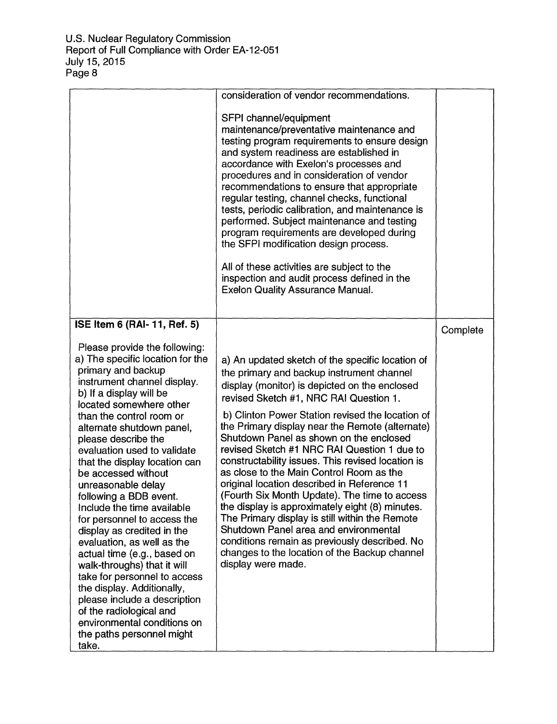|                                                                                                                                                                                                                                                                                                                                                                                                                                                                                                                                                                                                                                                                | consideration of vendor recommendations.<br>SFPI channel/equipment<br>maintenance/preventative maintenance and<br>testing program requirements to ensure design<br>and system readiness are established in<br>accordance with Exelon's processes and<br>procedures and in consideration of vendor<br>recommendations to ensure that appropriate<br>regular testing, channel checks, functional<br>tests, periodic calibration, and maintenance is<br>performed. Subject maintenance and testing<br>program requirements are developed during<br>the SFPI modification design process.<br>All of these activities are subject to the<br>inspection and audit process defined in the<br><b>Exelon Quality Assurance Manual.</b> |          |
|----------------------------------------------------------------------------------------------------------------------------------------------------------------------------------------------------------------------------------------------------------------------------------------------------------------------------------------------------------------------------------------------------------------------------------------------------------------------------------------------------------------------------------------------------------------------------------------------------------------------------------------------------------------|-------------------------------------------------------------------------------------------------------------------------------------------------------------------------------------------------------------------------------------------------------------------------------------------------------------------------------------------------------------------------------------------------------------------------------------------------------------------------------------------------------------------------------------------------------------------------------------------------------------------------------------------------------------------------------------------------------------------------------|----------|
| ISE Item 6 (RAI- 11, Ref. 5)<br>Please provide the following:<br>a) The specific location for the<br>primary and backup<br>instrument channel display.                                                                                                                                                                                                                                                                                                                                                                                                                                                                                                         | a) An updated sketch of the specific location of<br>the primary and backup instrument channel<br>display (monitor) is depicted on the enclosed                                                                                                                                                                                                                                                                                                                                                                                                                                                                                                                                                                                | Complete |
| b) If a display will be<br>located somewhere other<br>than the control room or<br>alternate shutdown panel,<br>please describe the<br>evaluation used to validate<br>that the display location can<br>be accessed without<br>unreasonable delay<br>following a BDB event.<br>Include the time available<br>for personnel to access the<br>display as credited in the<br>evaluation, as well as the<br>actual time (e.g., based on<br>walk-throughs) that it will<br>take for personnel to access<br>the display. Additionally,<br>please include a description<br>of the radiological and<br>environmental conditions on<br>the paths personnel might<br>take. | revised Sketch #1, NRC RAI Question 1.<br>b) Clinton Power Station revised the location of<br>the Primary display near the Remote (alternate)<br>Shutdown Panel as shown on the enclosed<br>revised Sketch #1 NRC RAI Question 1 due to<br>constructability issues. This revised location is<br>as close to the Main Control Room as the<br>original location described in Reference 11<br>(Fourth Six Month Update). The time to access<br>the display is approximately eight (8) minutes.<br>The Primary display is still within the Remote<br>Shutdown Panel area and environmental<br>conditions remain as previously described. No<br>changes to the location of the Backup channel<br>display were made.                |          |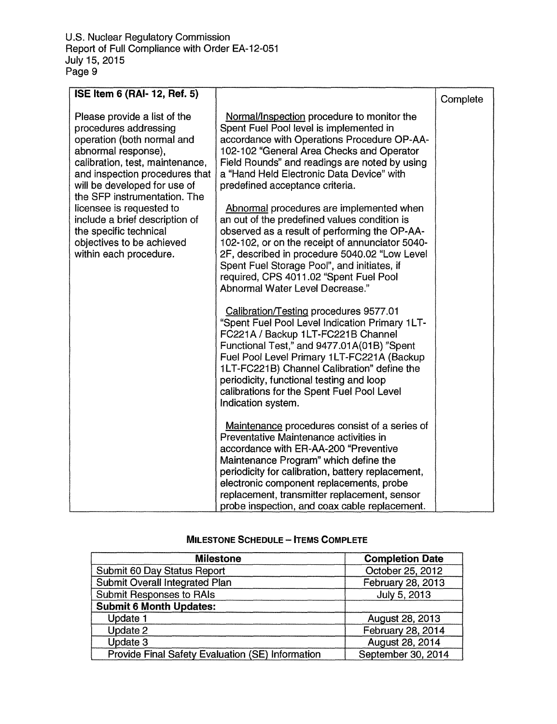| ISE Item 6 (RAI- 12, Ref. 5)                                                                                                                                                                                                                                                                                                                                                                   |                                                                                                                                                                                                                                                                                                                                                                                                                                                                                                                                                                                                                                                                                                                                                                                                                                                                                                                               | Complete |
|------------------------------------------------------------------------------------------------------------------------------------------------------------------------------------------------------------------------------------------------------------------------------------------------------------------------------------------------------------------------------------------------|-------------------------------------------------------------------------------------------------------------------------------------------------------------------------------------------------------------------------------------------------------------------------------------------------------------------------------------------------------------------------------------------------------------------------------------------------------------------------------------------------------------------------------------------------------------------------------------------------------------------------------------------------------------------------------------------------------------------------------------------------------------------------------------------------------------------------------------------------------------------------------------------------------------------------------|----------|
| Please provide a list of the<br>procedures addressing<br>operation (both normal and<br>abnormal response),<br>calibration, test, maintenance,<br>and inspection procedures that<br>will be developed for use of<br>the SFP instrumentation. The<br>licensee is requested to<br>include a brief description of<br>the specific technical<br>objectives to be achieved<br>within each procedure. | Normal/Inspection procedure to monitor the<br>Spent Fuel Pool level is implemented in<br>accordance with Operations Procedure OP-AA-<br>102-102 "General Area Checks and Operator<br>Field Rounds" and readings are noted by using<br>a "Hand Held Electronic Data Device" with<br>predefined acceptance criteria.<br>Abnormal procedures are implemented when<br>an out of the predefined values condition is<br>observed as a result of performing the OP-AA-<br>102-102, or on the receipt of annunciator 5040-<br>2F, described in procedure 5040.02 "Low Level<br>Spent Fuel Storage Pool", and initiates, if<br>required, CPS 4011.02 "Spent Fuel Pool<br>Abnormal Water Level Decrease."<br>Calibration/Testing procedures 9577.01<br>"Spent Fuel Pool Level Indication Primary 1LT-<br>FC221A / Backup 1LT-FC221B Channel<br>Functional Test," and 9477.01A(01B) "Spent<br>Fuel Pool Level Primary 1LT-FC221A (Backup |          |
|                                                                                                                                                                                                                                                                                                                                                                                                | 1LT-FC221B) Channel Calibration" define the<br>periodicity, functional testing and loop<br>calibrations for the Spent Fuel Pool Level<br>Indication system.                                                                                                                                                                                                                                                                                                                                                                                                                                                                                                                                                                                                                                                                                                                                                                   |          |
|                                                                                                                                                                                                                                                                                                                                                                                                | Maintenance procedures consist of a series of<br>Preventative Maintenance activities in<br>accordance with ER-AA-200 "Preventive<br>Maintenance Program" which define the<br>periodicity for calibration, battery replacement,<br>electronic component replacements, probe<br>replacement, transmitter replacement, sensor<br>probe inspection, and coax cable replacement.                                                                                                                                                                                                                                                                                                                                                                                                                                                                                                                                                   |          |

## **MILESTONE SCHEDULE** - **ITEMS COMPLETE**

| <b>Milestone</b>                                 | <b>Completion Date</b> |
|--------------------------------------------------|------------------------|
| Submit 60 Day Status Report                      | October 25, 2012       |
| <b>Submit Overall Integrated Plan</b>            | February 28, 2013      |
| <b>Submit Responses to RAIs</b>                  | July 5, 2013           |
| <b>Submit 6 Month Updates:</b>                   |                        |
| Update 1                                         | August 28, 2013        |
| Update 2                                         | February 28, 2014      |
| Update 3                                         | August 28, 2014        |
| Provide Final Safety Evaluation (SE) Information | September 30, 2014     |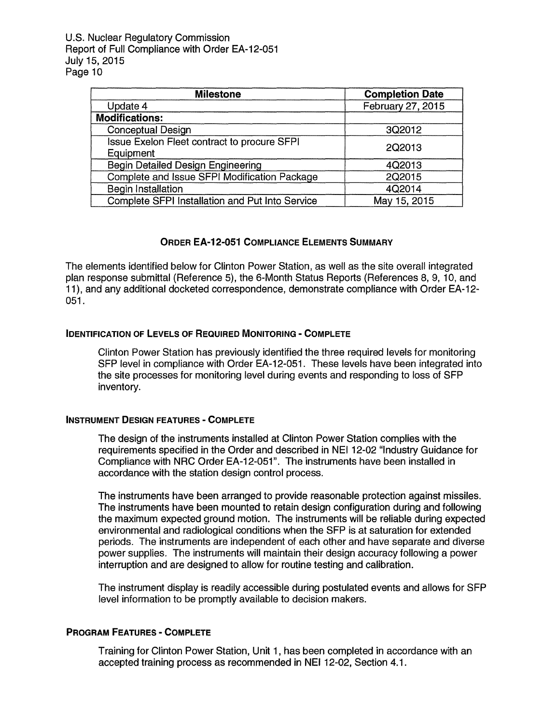U.S. Nuclear Regulatory Commission Report of Full Compliance with Order EA-12-051 July 15, 2015 Page 10

| <b>Milestone</b>                                                | <b>Completion Date</b> |
|-----------------------------------------------------------------|------------------------|
| Update 4                                                        | February 27, 2015      |
| <b>Modifications:</b>                                           |                        |
| <b>Conceptual Design</b>                                        | 3Q2012                 |
| <b>Issue Exelon Fleet contract to procure SFPI</b><br>Equipment | 2Q2013                 |
| <b>Begin Detailed Design Engineering</b>                        | 4Q2013                 |
| Complete and Issue SFPI Modification Package                    | 2Q2015                 |
| <b>Begin Installation</b>                                       | 4Q2014                 |
| Complete SFPI Installation and Put Into Service                 | May 15, 2015           |

### **ORDER EA-12-051 COMPLIANCE ELEMENTS SUMMARY**

The elements identified below for Clinton Power Station, as well as the site overall integrated plan response submittal (Reference 5), the 6-Month Status Reports (References 8, 9, 10, and 11), and any additional docketed correspondence, demonstrate compliance with Order EA-12- 051.

### **IDENTIFICATION OF LEVELS OF REQUIRED MONITORING - COMPLETE**

Clinton Power Station has previously identified the three required levels for monitoring SFP level in compliance with Order EA-12-051. These levels have been integrated into the site processes for monitoring level during events and responding to loss of SFP inventory.

#### **INSTRUMENT DESIGN FEATURES** - **COMPLETE**

The design of the instruments installed at Clinton Power Station complies with the requirements specified in the Order and described in NEI 12-02 "Industry Guidance for Compliance with NRC Order EA-12-051". The instruments have been installed in accordance with the station design control process.

The instruments have been arranged to provide reasonable protection against missiles. The instruments have been mounted to retain design configuration during and following the maximum expected ground motion. The instruments will be reliable during expected environmental and radiological conditions when the SFP is at saturation for extended periods. The instruments are independent of each other and have separate and diverse power supplies. The instruments will maintain their design accuracy following a power interruption and are designed to allow for routine testing and calibration.

The instrument display is readily accessible during postulated events and allows for SFP level information to be promptly available to decision makers.

### **PROGRAM FEATURES** - **COMPLETE**

Training for Clinton Power Station, Unit 1, has been completed in accordance with an accepted training process as recommended in NEI 12-02, Section 4.1.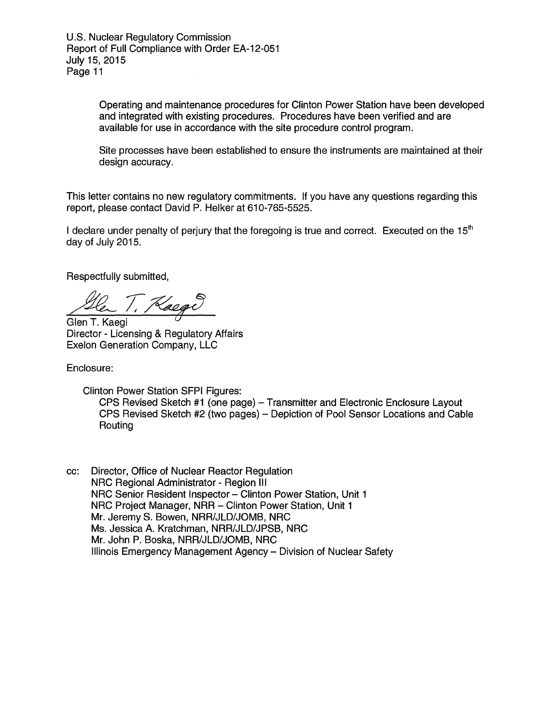U.S. Nuclear Regulatory Commission Report of Full Compliance with Order EA-12-051 July 15, 2015 Page 11

> Operating and maintenance procedures for Clinton Power Station have been developed and integrated with existing procedures. Procedures have been verified and are available for use in accordance with the site procedure control program.

> Site processes have been established to ensure the instruments are maintained at their design accuracy.

This letter contains no new regulatory commitments. If you have any questions regarding this report, please contact David P. Helker at 610-765-5525.

I declare under penalty of perjury that the foregoing is true and correct. Executed on the  $15<sup>th</sup>$ day of July 2015.

Respectfully submitted,

 $7,$  Raege

Glen T. Kaegi Director - Licensing & Regulatory Affairs Exelon Generation Company, LLC

Enclosure:

Clinton Power Station SFPI Figures:

CPS Revised Sketch #1 (one page) - Transmitter and Electronic Enclosure Layout CPS Revised Sketch #2 (two pages) - Depiction of Pool Sensor Locations and Cable Routing

cc: Director, Office of Nuclear Reactor Regulation NRC Regional Administrator - Region Ill NRC Regional Administrator - Region III<br>NRC Senior Resident Inspector – Clinton Power Station, Unit 1 NRC Senior Resident Inspector – Clinton Power Station, Unit<br>NRC Project Manager, NRR – Clinton Power Station, Unit 1 Mr. Jeremy S. Bowen, NRR/JLD/JOMB, NRC Ms. Jessica A. Kratchman, NRR/JLD/JPSB, NRC Mr. John P. Boska, NRR/JLD/JOMB, NRC Illinois Emergency Management Agency - Division of Nuclear Safety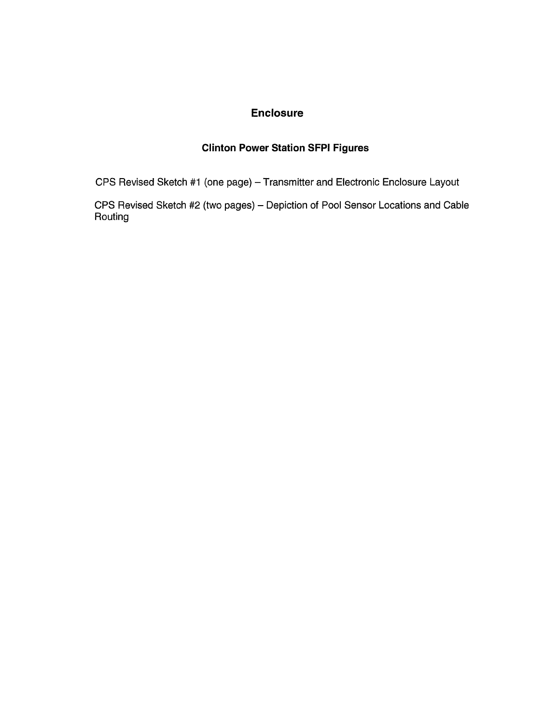### **Enclosure**

## **Clinton Power Station SFPI Figures**

CPS Revised Sketch #1 (one page) - Transmitter and Electronic Enclosure Layout

CPS Revised Sketch #2 (two pages) - Depiction of Pool Sensor Locations and Cable Routing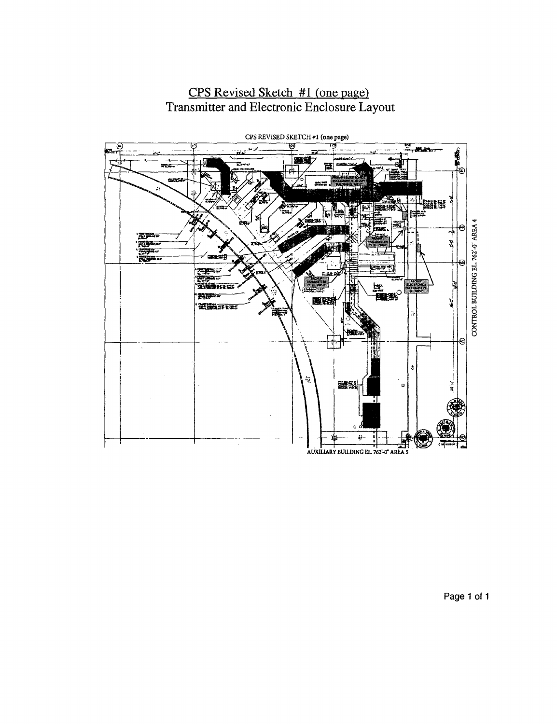

## **CPS** Revised Sketch #1 (one page) Transmitter and Electronic Enclosure Layout

**Page 1 of 1**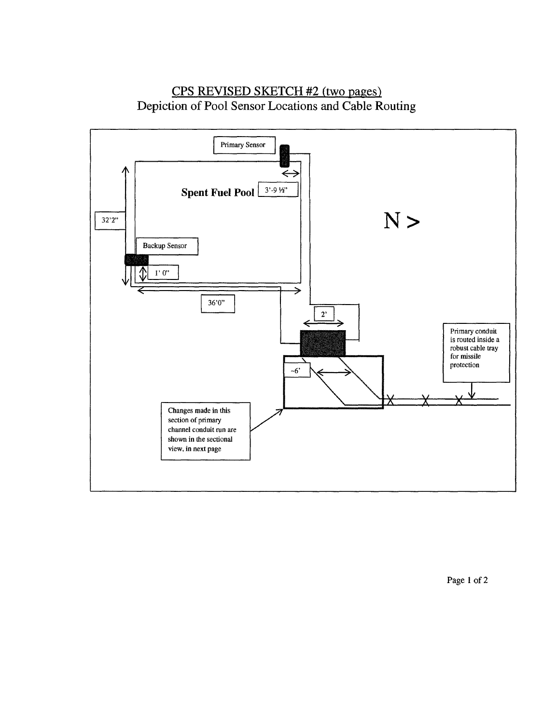## CPS REVISED SKETCH #2 (two pages) Depiction of Pool Sensor Locations and **Cable Routing**